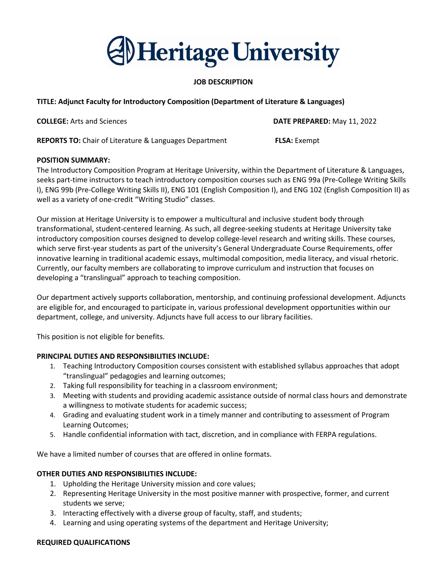# **Al Heritage University**

#### **JOB DESCRIPTION**

#### **TITLE: Adjunct Faculty for Introductory Composition (Department of Literature & Languages)**

**COLLEGE:** Arts and Sciences **DATE PREPARED:** May 11, 2022

**REPORTS TO:** Chair of Literature & Languages Department **FLSA:** Exempt

#### **POSITION SUMMARY:**

The Introductory Composition Program at Heritage University, within the Department of Literature & Languages, seeks part-time instructors to teach introductory composition courses such as ENG 99a (Pre-College Writing Skills I), ENG 99b (Pre-College Writing Skills II), ENG 101 (English Composition I), and ENG 102 (English Composition II) as well as a variety of one-credit "Writing Studio" classes.

Our mission at Heritage University is to empower a multicultural and inclusive student body through transformational, student-centered learning. As such, all degree-seeking students at Heritage University take introductory composition courses designed to develop college-level research and writing skills. These courses, which serve first-year students as part of the university's General Undergraduate Course Requirements, offer innovative learning in traditional academic essays, multimodal composition, media literacy, and visual rhetoric. Currently, our faculty members are collaborating to improve curriculum and instruction that focuses on developing a "translingual" approach to teaching composition.

Our department actively supports collaboration, mentorship, and continuing professional development. Adjuncts are eligible for, and encouraged to participate in, various professional development opportunities within our department, college, and university. Adjuncts have full access to our library facilities.

This position is not eligible for benefits.

#### **PRINCIPAL DUTIES AND RESPONSIBILITIES INCLUDE:**

- 1. Teaching Introductory Composition courses consistent with established syllabus approaches that adopt "translingual" pedagogies and learning outcomes;
- 2. Taking full responsibility for teaching in a classroom environment;
- 3. Meeting with students and providing academic assistance outside of normal class hours and demonstrate a willingness to motivate students for academic success;
- 4. Grading and evaluating student work in a timely manner and contributing to assessment of Program Learning Outcomes;
- 5. Handle confidential information with tact, discretion, and in compliance with FERPA regulations.

We have a limited number of courses that are offered in online formats.

#### **OTHER DUTIES AND RESPONSIBILITIES INCLUDE:**

- 1. Upholding the Heritage University mission and core values;
- 2. Representing Heritage University in the most positive manner with prospective, former, and current students we serve;
- 3. Interacting effectively with a diverse group of faculty, staff, and students;
- 4. Learning and using operating systems of the department and Heritage University;

#### **REQUIRED QUALIFICATIONS**